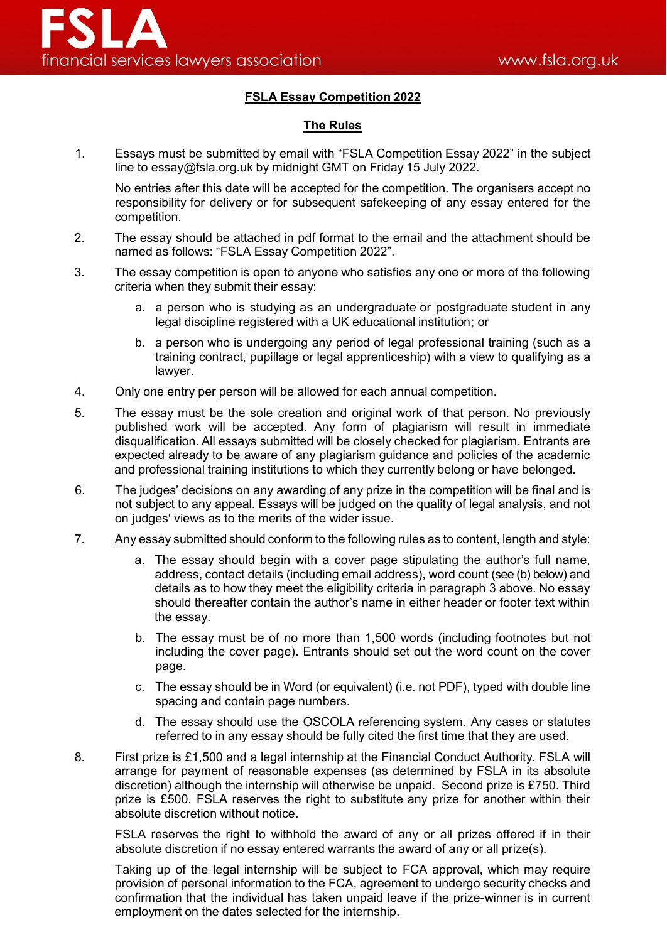## **FSLA Essay Competition 2022**

## **The Rules**

1. Essays must be submitted by email with "FSLA Competition Essay 2022" in the subject line to essay@fsla.org.uk by midnight GMT on Friday 15 July 2022.

No entries after this date will be accepted for the competition. The organisers accept no responsibility for delivery or for subsequent safekeeping of any essay entered for the competition.

- 2. The essay should be attached in pdf format to the email and the attachment should be named as follows: "FSLA Essay Competition 2022".
- 3. The essay competition is open to anyone who satisfies any one or more of the following criteria when they submit their essay:
	- a. a person who is studying as an undergraduate or postgraduate student in any legal discipline registered with a UK educational institution; or
	- b. a person who is undergoing any period of legal professional training (such as a training contract, pupillage or legal apprenticeship) with a view to qualifying as a lawyer.
- 4. Only one entry per person will be allowed for each annual competition.
- 5. The essay must be the sole creation and original work of that person. No previously published work will be accepted. Any form of plagiarism will result in immediate disqualification. All essays submitted will be closely checked for plagiarism. Entrants are expected already to be aware of any plagiarism guidance and policies of the academic and professional training institutions to which they currently belong or have belonged.
- 6. The judges' decisions on any awarding of any prize in the competition will be final and is not subject to any appeal. Essays will be judged on the quality of legal analysis, and not on judges' views as to the merits of the wider issue.
- 7. Any essay submitted should conform to the following rules as to content, length and style:
	- a. The essay should begin with a cover page stipulating the author's full name, address, contact details (including email address), word count (see (b) below) and details as to how they meet the eligibility criteria in paragraph 3 above. No essay should thereafter contain the author's name in either header or footer text within the essay.
	- b. The essay must be of no more than 1,500 words (including footnotes but not including the cover page). Entrants should set out the word count on the cover page.
	- c. The essay should be in Word (or equivalent) (i.e. not PDF), typed with double line spacing and contain page numbers.
	- d. The essay should use the OSCOLA referencing system. Any cases or statutes referred to in any essay should be fully cited the first time that they are used.
- 8. First prize is £1,500 and a legal internship at the Financial Conduct Authority. FSLA will arrange for payment of reasonable expenses (as determined by FSLA in its absolute discretion) although the internship will otherwise be unpaid. Second prize is £750. Third prize is £500. FSLA reserves the right to substitute any prize for another within their absolute discretion without notice.

FSLA reserves the right to withhold the award of any or all prizes offered if in their absolute discretion if no essay entered warrants the award of any or all prize(s).

Taking up of the legal internship will be subject to FCA approval, which may require provision of personal information to the FCA, agreement to undergo security checks and confirmation that the individual has taken unpaid leave if the prize-winner is in current employment on the dates selected for the internship.